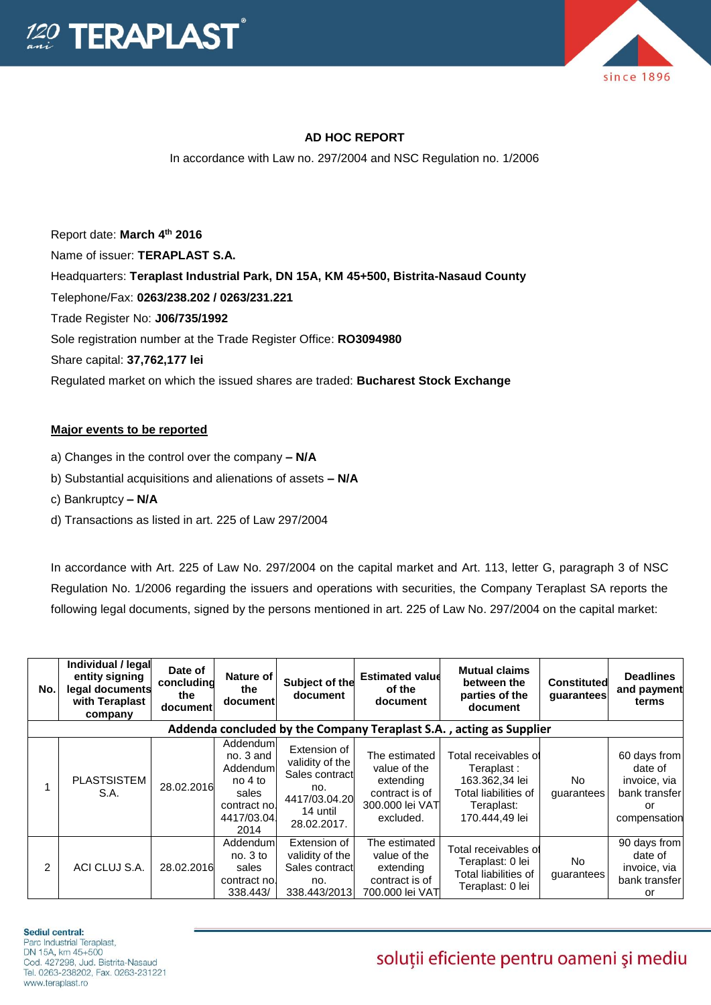



## **AD HOC REPORT**

In accordance with Law no. 297/2004 and NSC Regulation no. 1/2006

Report date: **March 4 th 2016** Name of issuer: **TERAPLAST S.A.**  Headquarters: **Teraplast Industrial Park, DN 15A, KM 45+500, Bistrita-Nasaud County** Telephone/Fax: **0263/238.202 / 0263/231.221** Trade Register No: **J06/735/1992** Sole registration number at the Trade Register Office: **RO3094980** Share capital: **37,762,177 lei** Regulated market on which the issued shares are traded: **Bucharest Stock Exchange**

### **Major events to be reported**

- a) Changes in the control over the company **– N/A**
- b) Substantial acquisitions and alienations of assets **– N/A**
- c) Bankruptcy **– N/A**
- d) Transactions as listed in art. 225 of Law 297/2004

In accordance with Art. 225 of Law No. 297/2004 on the capital market and Art. 113, letter G, paragraph 3 of NSC Regulation No. 1/2006 regarding the issuers and operations with securities, the Company Teraplast SA reports the following legal documents, signed by the persons mentioned in art. 225 of Law No. 297/2004 on the capital market:

| No.                                                                 | Individual / legal<br>entity signing<br>legal documents<br>with Teraplast<br>company | Date of<br>concluding<br>the<br>document | Nature of<br>the<br>document                                                                   | Subject of the<br>document                                                                           | <b>Estimated value</b><br>of the<br>document                                                 | <b>Mutual claims</b><br>between the<br>parties of the<br>document                                            | <b>Constituted</b><br>guarantees | <b>Deadlines</b><br>and payment<br>terms                                       |  |
|---------------------------------------------------------------------|--------------------------------------------------------------------------------------|------------------------------------------|------------------------------------------------------------------------------------------------|------------------------------------------------------------------------------------------------------|----------------------------------------------------------------------------------------------|--------------------------------------------------------------------------------------------------------------|----------------------------------|--------------------------------------------------------------------------------|--|
| Addenda concluded by the Company Teraplast S.A., acting as Supplier |                                                                                      |                                          |                                                                                                |                                                                                                      |                                                                                              |                                                                                                              |                                  |                                                                                |  |
|                                                                     | PLASTSISTEM<br>S.A.                                                                  | 28.02.2016                               | Addenduml<br>no. 3 and<br>Addenduml<br>$no4$ to<br>sales<br>contract nol<br>4417/03.04<br>2014 | Extension of<br>validity of the<br>Sales contract<br>no.<br>4417/03.04.20<br>14 until<br>28.02.2017. | The estimated<br>value of the<br>extending<br>contract is of<br>300.000 lei VAT<br>excluded. | Total receivables of<br>Teraplast:<br>163.362,34 lei<br>Total liabilities of<br>Teraplast:<br>170.444,49 lei | No.<br>guarantees                | 60 days from<br>date of<br>invoice, via<br>bank transfer<br>or<br>compensation |  |
| 2                                                                   | ACI CLUJ S.A.                                                                        | 28.02.2016                               | Addendum<br>no.3 to<br>sales<br>contract no.<br>338.443/                                       | Extension of<br>validity of the<br>Sales contract<br>no.<br>338.443/2013                             | The estimated<br>value of the<br>extending<br>contract is of<br>700.000 lei VAT              | Total receivables of<br>Teraplast: 0 lei<br>Total liabilities of<br>Teraplast: 0 lei                         | No.<br>guarantees                | 90 days from<br>date of<br>invoice, via<br>bank transfer<br>or                 |  |

#### Sediul central:

Parc Industrial Teraplast. DN 15A, km 45+500 Cod. 427298, Jud. Bistrita-Nasaud Tel. 0263-238202, Fax. 0263-231221 www.teraplast.ro

# soluții eficiente pentru oameni și mediu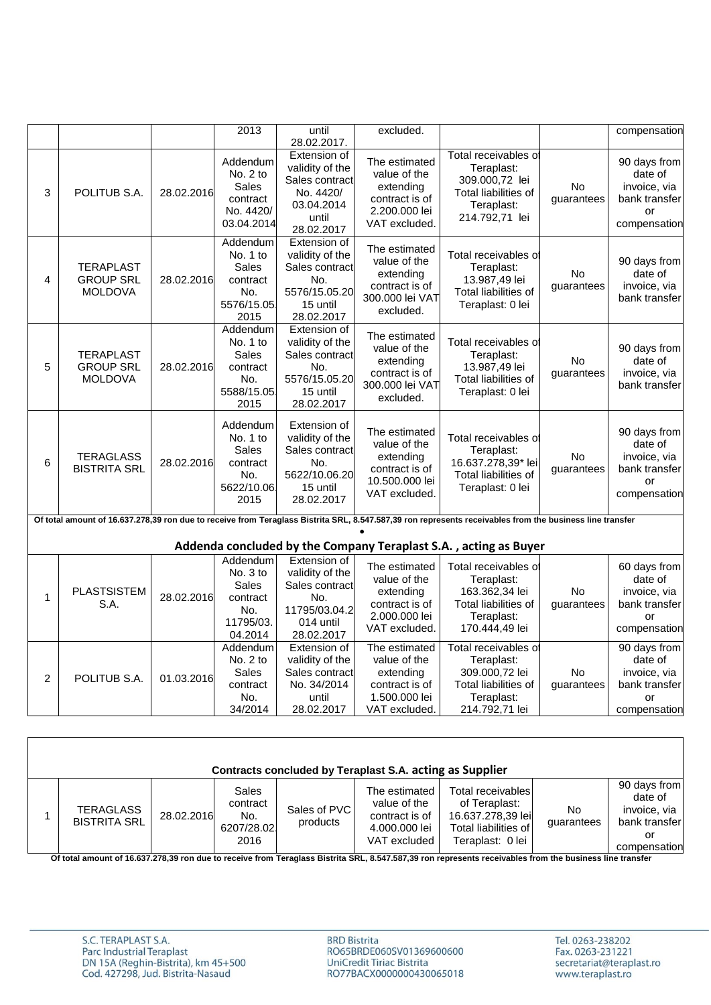|   |                                                                                                                                                          |            | 2013                                                                        | until<br>28.02.2017.                                                                                 | excluded.                                                                                       |                                                                                                              |                         | compensation                                                                   |  |  |
|---|----------------------------------------------------------------------------------------------------------------------------------------------------------|------------|-----------------------------------------------------------------------------|------------------------------------------------------------------------------------------------------|-------------------------------------------------------------------------------------------------|--------------------------------------------------------------------------------------------------------------|-------------------------|--------------------------------------------------------------------------------|--|--|
| 3 | POLITUB S.A.                                                                                                                                             | 28.02.2016 | Addendum<br>No. 2 to<br><b>Sales</b><br>contract<br>No. 4420/<br>03.04.2014 | Extension of<br>validity of the<br>Sales contract<br>No. 4420/<br>03.04.2014<br>until<br>28.02.2017  | The estimated<br>value of the<br>extending<br>contract is of<br>2.200.000 lei<br>VAT excluded.  | Total receivables of<br>Teraplast:<br>309.000,72 lei<br>Total liabilities of<br>Teraplast:<br>214.792,71 lei | No<br>guarantees        | 90 days from<br>date of<br>invoice, via<br>bank transfer<br>or<br>compensation |  |  |
| 4 | <b>TERAPLAST</b><br><b>GROUP SRL</b><br><b>MOLDOVA</b>                                                                                                   | 28.02.2016 | Addendum<br>No. 1 to<br>Sales<br>contract<br>No.<br>5576/15.05<br>2015      | Extension of<br>validity of the<br>Sales contract<br>No.<br>5576/15.05.20<br>15 until<br>28.02.2017  | The estimated<br>value of the<br>extending<br>contract is of<br>300,000 lei VAT<br>excluded.    | Total receivables of<br>Teraplast:<br>13.987,49 lei<br>Total liabilities of<br>Teraplast: 0 lei              | <b>No</b><br>guarantees | 90 days from<br>date of<br>invoice, via<br>bank transfer                       |  |  |
| 5 | <b>TERAPLAST</b><br><b>GROUP SRL</b><br><b>MOLDOVA</b>                                                                                                   | 28.02.2016 | Addendum<br>No. 1 to<br>Sales<br>contract<br>No.<br>5588/15.05<br>2015      | Extension of<br>validity of the<br>Sales contract<br>No.<br>5576/15.05.20<br>15 until<br>28.02.2017  | The estimated<br>value of the<br>extending<br>contract is of<br>300.000 lei VAT<br>excluded.    | Total receivables of<br>Teraplast:<br>13.987,49 lei<br>Total liabilities of<br>Teraplast: 0 lei              | <b>No</b><br>guarantees | 90 days from<br>date of<br>invoice, via<br>bank transfer                       |  |  |
| 6 | <b>TERAGLASS</b><br><b>BISTRITA SRL</b>                                                                                                                  | 28.02.2016 | Addendum<br>No. 1 to<br>Sales<br>contract<br>No.<br>5622/10.06<br>2015      | Extension of<br>validity of the<br>Sales contract<br>No.<br>5622/10.06.20<br>15 until<br>28.02.2017  | The estimated<br>value of the<br>extending<br>contract is of<br>10.500.000 lei<br>VAT excluded. | Total receivables of<br>Teraplast:<br>16.637.278,39* lei<br>Total liabilities of<br>Teraplast: 0 lei         | <b>No</b><br>guarantees | 90 days from<br>date of<br>invoice, via<br>bank transfer<br>or<br>compensation |  |  |
|   | Of total amount of 16.637.278,39 ron due to receive from Teraglass Bistrita SRL, 8.547.587,39 ron represents receivables from the business line transfer |            |                                                                             |                                                                                                      |                                                                                                 |                                                                                                              |                         |                                                                                |  |  |
|   |                                                                                                                                                          |            |                                                                             |                                                                                                      |                                                                                                 | Addenda concluded by the Company Teraplast S.A., acting as Buyer                                             |                         |                                                                                |  |  |
| 1 | <b>PLASTSISTEM</b><br>S.A.                                                                                                                               | 28.02.2016 | Addendum<br>No. 3 to<br>Sales<br>contract<br>No.<br>11795/03.<br>04.2014    | Extension of<br>validity of the<br>Sales contract<br>No.<br>11795/03.04.2<br>014 until<br>28.02.2017 | The estimated<br>value of the<br>extending<br>contract is of<br>2.000.000 lei<br>VAT excluded.  | Total receivables of<br>Teraplast:<br>163.362,34 lei<br>Total liabilities of<br>Teraplast:<br>170.444,49 lei | No<br>guarantees        | 60 days from<br>date of<br>invoice, via<br>bank transfer<br>or<br>compensation |  |  |
| 2 | POLITUB S.A.                                                                                                                                             | 01.03.2016 | Addendum<br>No. $2$ to<br>Sales<br>contract<br>No.<br>34/2014               | Extension of<br>validity of the<br>Sales contract<br>No. 34/2014<br>until<br>28.02.2017              | The estimated<br>value of the<br>extending<br>contract is of<br>1.500.000 lei<br>VAT excluded.  | Total receivables of<br>Teraplast:<br>309.000,72 lei<br>Total liabilities of<br>Teraplast:<br>214.792,71 lei | No<br>guarantees        | 90 days from<br>date of<br>invoice, via<br>bank transfer<br>or<br>compensation |  |  |

| Contracts concluded by Teraplast S.A. acting as Supplier |            |                                                       |                          |                                                                                  |                                                                                                     |                  |                                                                                |  |  |
|----------------------------------------------------------|------------|-------------------------------------------------------|--------------------------|----------------------------------------------------------------------------------|-----------------------------------------------------------------------------------------------------|------------------|--------------------------------------------------------------------------------|--|--|
| <b>TERAGLASS</b><br><b>BISTRITA SRL</b>                  | 28.02.2016 | <b>Sales</b><br>contract<br>No.<br>6207/28.02<br>2016 | Sales of PVC<br>products | The estimated<br>value of the<br>contract is of<br>4.000.000 lei<br>VAT excluded | Total receivables<br>of Teraplast:<br>16.637.278,39 lei<br>Total liabilities of<br>Teraplast: 0 lei | No<br>quarantees | 90 days from<br>date of<br>invoice, via<br>bank transfer<br>or<br>compensation |  |  |

**Of total amount of 16.637.278,39 ron due to receive from Teraglass Bistrita SRL, 8.547.587,39 ron represents receivables from the business line transfer**

**BRD Bistrita** RO65BRDE060SV01369600600 UniCredit Tiriac Bistrita<br>RO77BACX0000000430065018